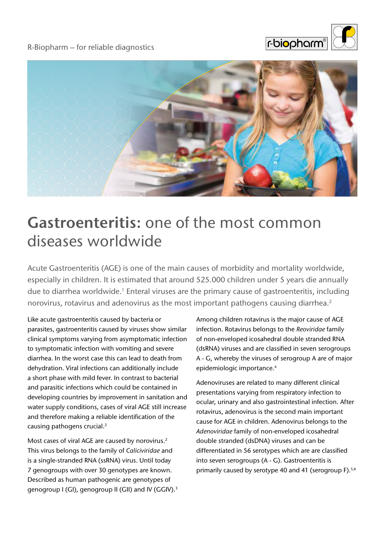

## R-Biopharm – for reliable diagnostics



## **Gastroenteritis:** one of the most common diseases worldwide

Acute Gastroenteritis (AGE) is one of the main causes of morbidity and mortality worldwide, especially in children. It is estimated that around 525.000 children under 5 years die annually due to diarrhea worldwide.<sup>1</sup> Enteral viruses are the primary cause of gastroenteritis, including norovirus, rotavirus and adenovirus as the most important pathogens causing diarrhea.<sup>2</sup>

Like acute gastroenteritis caused by bacteria or parasites, gastroenteritis caused by viruses show similar clinical symptoms varying from asymptomatic infection to symptomatic infection with vomiting and severe diarrhea. In the worst case this can lead to death from dehydration. Viral infections can additionally include a short phase with mild fever. In contrast to bacterial and parasitic infections which could be contained in developing countries by improvement in sanitation and water supply conditions, cases of viral AGE still increase and therefore making a reliable identification of the causing pathogens crucial.2

Most cases of viral AGE are caused by norovirus.<sup>2</sup> This virus belongs to the family of *Caliciviridae* and is a single-stranded RNA (ssRNA) virus. Until today 7 genogroups with over 30 genotypes are known. Described as human pathogenic are genotypes of genogroup I (GI), genogroup II (GII) and IV (GGIV).3 Among children rotavirus is the major cause of AGE infection. Rotavirus belongs to the *Reoviridae* family of non-enveloped icosahedral double stranded RNA (dsRNA) viruses and are classified in seven serogroups A - G, whereby the viruses of serogroup A are of major epidemiologic importance.4

Adenoviruses are related to many different clinical presentations varying from respiratory infection to ocular, urinary and also gastrointestinal infection. After rotavirus, adenovirus is the second main important cause for AGE in children. Adenovirus belongs to the *Adenoviridae* family of non-enveloped icosahedral double stranded (dsDNA) viruses and can be differentiated in 56 serotypes which are are classified into seven serogroups (A - G). Gastroenteritis is primarily caused by serotype 40 and 41 (serogroup F).<sup>5,6</sup>